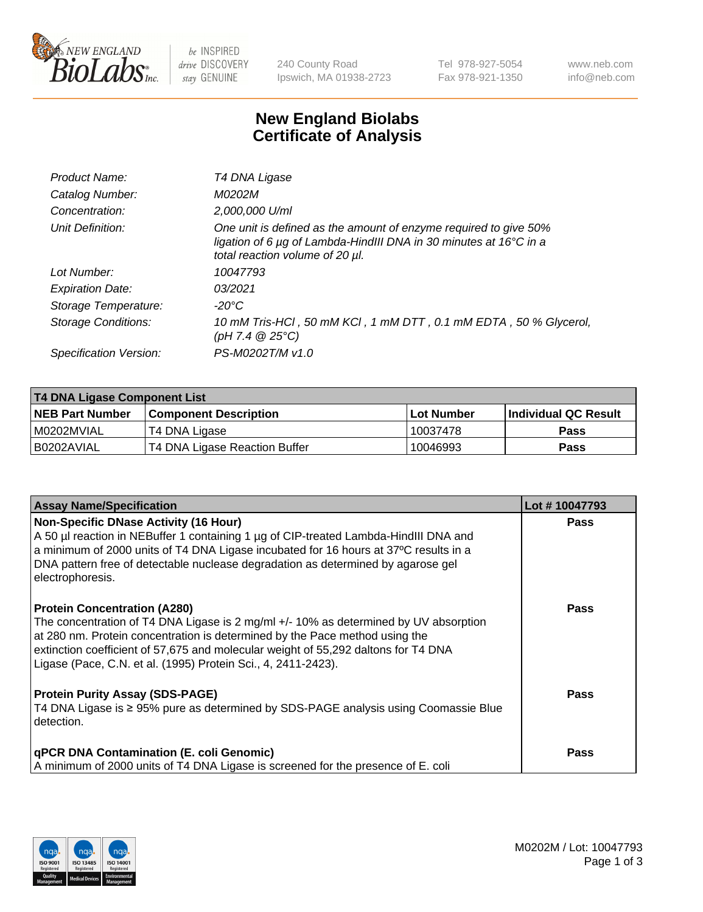

 $be$  INSPIRED drive DISCOVERY stay GENUINE

240 County Road Ipswich, MA 01938-2723 Tel 978-927-5054 Fax 978-921-1350 www.neb.com info@neb.com

## **New England Biolabs Certificate of Analysis**

| T4 DNA Ligase                                                                                                                                                            |
|--------------------------------------------------------------------------------------------------------------------------------------------------------------------------|
| M0202M                                                                                                                                                                   |
| 2,000,000 U/ml                                                                                                                                                           |
| One unit is defined as the amount of enzyme required to give 50%<br>ligation of 6 µg of Lambda-HindIII DNA in 30 minutes at 16°C in a<br>total reaction volume of 20 µl. |
| 10047793                                                                                                                                                                 |
| 03/2021                                                                                                                                                                  |
| -20°C                                                                                                                                                                    |
| 10 mM Tris-HCl, 50 mM KCl, 1 mM DTT, 0.1 mM EDTA, 50 % Glycerol,<br>$(pH 7.4 \ @ 25^{\circ}\text{C})$                                                                    |
| PS-M0202T/M v1.0                                                                                                                                                         |
|                                                                                                                                                                          |

| T4 DNA Ligase Component List |                               |              |                             |  |  |
|------------------------------|-------------------------------|--------------|-----------------------------|--|--|
| <b>NEB Part Number</b>       | l Component Description       | l Lot Number | <b>Individual QC Result</b> |  |  |
| I M0202MVIAL                 | T4 DNA Ligase                 | 10037478     | <b>Pass</b>                 |  |  |
| I B0202AVIAL                 | T4 DNA Ligase Reaction Buffer | 10046993     | <b>Pass</b>                 |  |  |

| <b>Assay Name/Specification</b>                                                                                                                                                                                                                                                                                                                                   | Lot #10047793 |
|-------------------------------------------------------------------------------------------------------------------------------------------------------------------------------------------------------------------------------------------------------------------------------------------------------------------------------------------------------------------|---------------|
| <b>Non-Specific DNase Activity (16 Hour)</b><br>A 50 µl reaction in NEBuffer 1 containing 1 µg of CIP-treated Lambda-HindIII DNA and<br>a minimum of 2000 units of T4 DNA Ligase incubated for 16 hours at 37°C results in a<br>DNA pattern free of detectable nuclease degradation as determined by agarose gel<br>electrophoresis.                              | <b>Pass</b>   |
| <b>Protein Concentration (A280)</b><br>The concentration of T4 DNA Ligase is 2 mg/ml +/- 10% as determined by UV absorption<br>at 280 nm. Protein concentration is determined by the Pace method using the<br>extinction coefficient of 57,675 and molecular weight of 55,292 daltons for T4 DNA<br>Ligase (Pace, C.N. et al. (1995) Protein Sci., 4, 2411-2423). | <b>Pass</b>   |
| <b>Protein Purity Assay (SDS-PAGE)</b><br>T4 DNA Ligase is ≥ 95% pure as determined by SDS-PAGE analysis using Coomassie Blue<br>detection.                                                                                                                                                                                                                       | <b>Pass</b>   |
| <b>qPCR DNA Contamination (E. coli Genomic)</b><br>A minimum of 2000 units of T4 DNA Ligase is screened for the presence of E. coli                                                                                                                                                                                                                               | <b>Pass</b>   |

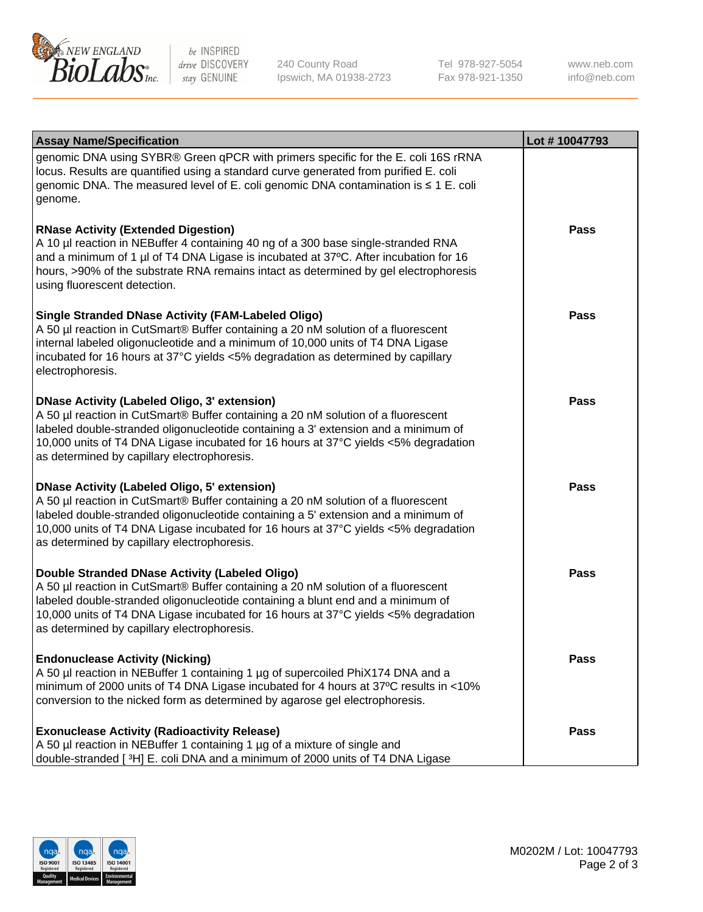

be INSPIRED drive DISCOVERY stay GENUINE

240 County Road Ipswich, MA 01938-2723 Tel 978-927-5054 Fax 978-921-1350

www.neb.com info@neb.com

| <b>Assay Name/Specification</b>                                                                                                                                                                                                                                                                                                                                      | Lot #10047793 |
|----------------------------------------------------------------------------------------------------------------------------------------------------------------------------------------------------------------------------------------------------------------------------------------------------------------------------------------------------------------------|---------------|
| genomic DNA using SYBR® Green qPCR with primers specific for the E. coli 16S rRNA<br>locus. Results are quantified using a standard curve generated from purified E. coli<br>genomic DNA. The measured level of E. coli genomic DNA contamination is ≤ 1 E. coli<br>genome.                                                                                          |               |
| <b>RNase Activity (Extended Digestion)</b><br>A 10 µl reaction in NEBuffer 4 containing 40 ng of a 300 base single-stranded RNA<br>and a minimum of 1 µl of T4 DNA Ligase is incubated at 37°C. After incubation for 16<br>hours, >90% of the substrate RNA remains intact as determined by gel electrophoresis<br>using fluorescent detection.                      | <b>Pass</b>   |
| <b>Single Stranded DNase Activity (FAM-Labeled Oligo)</b><br>A 50 µl reaction in CutSmart® Buffer containing a 20 nM solution of a fluorescent<br>internal labeled oligonucleotide and a minimum of 10,000 units of T4 DNA Ligase<br>incubated for 16 hours at 37°C yields <5% degradation as determined by capillary<br>electrophoresis.                            | <b>Pass</b>   |
| <b>DNase Activity (Labeled Oligo, 3' extension)</b><br>A 50 µl reaction in CutSmart® Buffer containing a 20 nM solution of a fluorescent<br>labeled double-stranded oligonucleotide containing a 3' extension and a minimum of<br>10,000 units of T4 DNA Ligase incubated for 16 hours at 37°C yields <5% degradation<br>as determined by capillary electrophoresis. | <b>Pass</b>   |
| <b>DNase Activity (Labeled Oligo, 5' extension)</b><br>A 50 µl reaction in CutSmart® Buffer containing a 20 nM solution of a fluorescent<br>labeled double-stranded oligonucleotide containing a 5' extension and a minimum of<br>10,000 units of T4 DNA Ligase incubated for 16 hours at 37°C yields <5% degradation<br>as determined by capillary electrophoresis. | <b>Pass</b>   |
| Double Stranded DNase Activity (Labeled Oligo)<br>A 50 µl reaction in CutSmart® Buffer containing a 20 nM solution of a fluorescent<br>labeled double-stranded oligonucleotide containing a blunt end and a minimum of<br>10,000 units of T4 DNA Ligase incubated for 16 hours at 37°C yields <5% degradation<br>as determined by capillary electrophoresis.         | <b>Pass</b>   |
| <b>Endonuclease Activity (Nicking)</b><br>A 50 µl reaction in NEBuffer 1 containing 1 µg of supercoiled PhiX174 DNA and a<br>minimum of 2000 units of T4 DNA Ligase incubated for 4 hours at 37°C results in <10%<br>conversion to the nicked form as determined by agarose gel electrophoresis.                                                                     | <b>Pass</b>   |
| <b>Exonuclease Activity (Radioactivity Release)</b><br>A 50 µl reaction in NEBuffer 1 containing 1 µg of a mixture of single and<br>double-stranded [3H] E. coli DNA and a minimum of 2000 units of T4 DNA Ligase                                                                                                                                                    | <b>Pass</b>   |